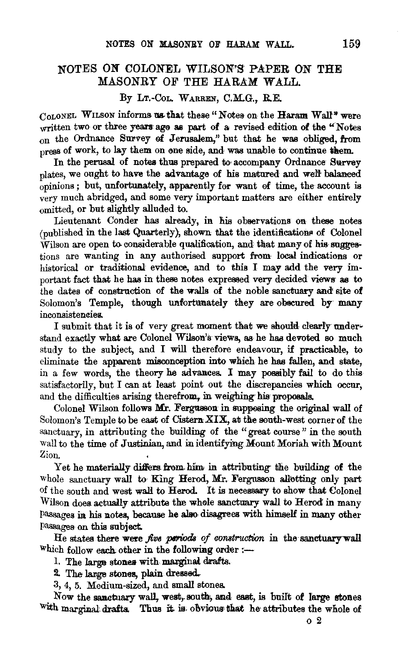## NOTES ON COLONEL WILSON'S PAPER ON THE MASONRY OF THE HARAM WALL.

## By LT.-COL. WARREN, C.M.G., R.E.

COLONEL WILSON informs us that these "Notes on the Haram Wall" were written two or three years ago as part of a revised edition of the "Notes" on the Ordnance Survey of Jerusalem," but that he was obliged, from press of work, to lay them on one side, and was unable to continue them.

In the perusal of notes thus prepared to accompany Ordnance Survey plates, we ought to have the advantage of his matured and well balanced opinions ; but, unfortunately, apparently for want of time, the account is very much abridged, and some very important matters are either entirely omitted, or but slightly alluded to.

Lieutenant Conder has already, in his observations on these notes  $($ <sub>oubl</sub>ished in the last Quarterly), shown that the identifications of Colonel  $\overline{W}$ ilson are open to considerable qualification, and that many of his suggestions are wanting in any authorised support from local indications or historical or traditional evidence, and to this I may add the very important fact that he has in these notes expressed very decided views· as to the dates of construction of the walls of the noble sanctuary and site of Solomon's Temple, though unfortunately they are obscured by many inconsistencies.

I submit that it is of very great moment that we should clearly understand exactly what are Colonel Wilson's views, as he has devoted so much study to the subject, and I will therefore endeavour, if practicable, to eliminate the apparent misconception into which he has fallen, and state, in a few words, the theory he advances. I may possibly fail to do this satisfactorily, but I can at least point out the discrepancies which occur, and the difficulties arising therefrom. in weighing his proposals.

Colonel Wilson follows Mr. Fergusson in supposing the original wall of Solomon's Temple to be east of Cistern XIX, at the south-west corner of the sanctuary, in attributing the building of the "great course" in the south wall to the time of Justinian, and in identifying Mount Moriah with Mount Zion.

Yet he materially differs from him in attributing the building of the whole sanctuary wall to King Herod, Mr. Fergusson allotting only part of the south and west wall to Herod. It is necessary to show that Colonel Wilson does actually attribute the whole sanctuary wall to Herod in many Passages in his notes, because he also disagrees with himself in many other Passages on this subject.

He states there were *five periods of construction* in the sanctuary wall Which follow each other in the following order  $:$ -

1. The large stones with marginal drafts.

2. The large stones, plain dressed.

3, 4, 5. Medium-sized, and small stones.

Now the sanctuary wall, west, south, and east, is built of large stones with marginal drafts. Thus it is obvious that he attributes the whole of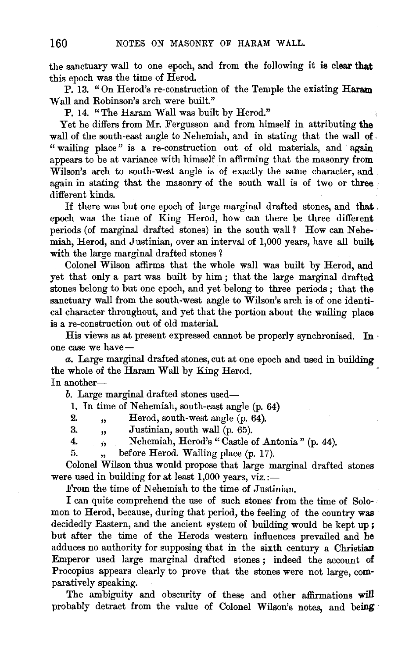the sanctuary wall to one epoch, and from the following it is clear that this epoch was the time of Herod.

P. 13. "On Herod's re-construction of the Temple the existing Haram Wall and Robinson's arch were built."

P. 14. "The Haram Wall was built by Herod."

Yet he differs from Mr. Fergusson and from himself in attributing the wall of the south-east angle to Nehemiah, and in stating that the wall of. " wailing place" is a re-construction out of old materials, and again appears to be at variance with himself in affirming that the masonry from Wilson's arch to south-west angle is of exactly the same character, and again in stating that the masonry of the south wall is of two or three different kinds.

If there was but one epoch of large marginal drafted stones, and that . epoch was the time of King Herod, how can there be three different periods (of marginal drafted stones) in the south wall? How can Nehemiah, Herod, and Justinian, over an interval of 1,000 years, have all built with the large marginal drafted stones?

Colonel Wilson affirms that the whole wall was built by Herod, and yet that only a part was built by him ; that the large marginal drafted stones belong to but one epoch, and yet belong to three periods ; that the sanctuary wall from the south-west angle to Wilson's arch is of one identical character throughout, and yet that the portion about the wailing place is a re-constmction out of old material.

His views as at present expressed cannot be properly synchronised. In · one case we have-

*a.* Large marginal drafted stones, cut at one epoch and used in building the whole of the Haram Wall by King Herod. In another-

*b.* Large marginal drafted stones used-

1. In time of Nehemiah, south-east angle (p. 64)

2. , Herod, south-west angle (p. 64).

- 3. , Justinian, south wall (p. 65).
- 4. ,, Nehemiah, Herod's "Castle of Antonia" (p. 44).

5. , before Herod. Wailing place (p. 17).

Colonel Wilson thus would propose that large marginal drafted stones were used in building for at least  $1,000$  years, viz.:-

From the time of Nehemiah to the time of Justinian.

I can quite comprehend the use of such stones from the time of Solomon to Herod, because, during that period, the feeling of the country was decidedly Eastern, and the ancient system of building would be kept up; but after the time of the Herods western influences prevailed and he adduces no authority for supposing that in the sixth century a Christian Emperor used large marginal drafted stones ; indeed the account of Procopius appears clearly to prove that the stones were not large, comparatively speaking.

The ambiguity and obscurity of these and other affirmations will probably detract from the value of Colonel Wilson's notes, and being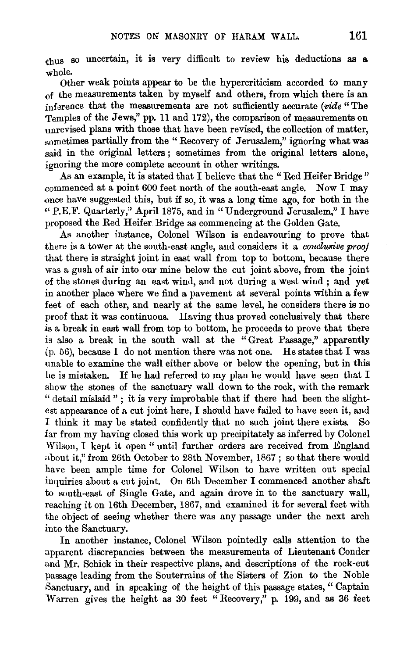thus so uncertain, it is very difficult to review his deductions as a whole.

Other weak points appear to be the hypercriticism accorded to many of the measurements taken by myself and others, from which there is an inference that the measurements are not sufficiently accurate *(vide"* The Temples of the Jews," pp. 11 and 172), the comparison of measurements on unrevised plans with those that have been revised, the collection of matter, sometimes partially from the " Recovery of Jerusalem," ignoring what was said in the original letters ; sometimes from the original letters alone, ignoring the more complete account in other writings.

As an example, it is stated that I believe that the "Red Heifer Bridge" commenced at a point 600 feet north of the south-east angle. Now I may once have suggested this, but if so, it was a long time ago, for both in the "P.E.F. Quarterly," April 1875, and in "Underground Jerusalem," I have proposed the Red Heifer Bridge as commencing at the Golden Gate.

.As another instance, Colonel Wilson is endeavouring to prove that there is a tower at the south-east angle, and considers it a *conclusive proof*  that there is straight joint in east wall from top to bottom, because there was a gush of air into our mine below the cut joint above, from the joint of the stones during an east wind, and not during a west wind ; and yet in another place where we find a pavement at several points within a few feet of each other, and nearly at the same level, he considers there is no proof that it was continuous. Having thus proved conclusively that there is a break in east wall from top to bottom, he proceeds to prove that there is also a break in the south wall at the "Great Passage," apparently (p. 56), because I do not mention there was not one. He states that I was unable to examine the wall either above or below the opening, but in this he is mistaken. If he had referred to my plan he would have seen that I show the stones of the sanctuary wall down to the rock, with the remark " detail mislaid"; it is very improbable that if there had been the slightest appearance of a cut joint here, I should have failed to have seen it, and I think it may be stated confidently that no such joint there exists. So far from my having closed this work up precipitately as inferred by Colonel Wilson, I kept it open " until further orders are received from England about it," from 26th October to 28th November, 1867 ; so that there would have been ample time for Colonel Wilson to have written out special inquiries about a cut joint. On 6th December I commenced another shaft to south-east of Single Gate, and again drove in to the sanctuary wall, reaching it on 16th December, 1867, and examined it for several feet with the object of seeing whether there was any passage under the next arch into the Sanctuary.

In another instance, Colonel Wilson pointedly calls attention to the apparent discrepancies between the measurements of Lieutenant Conder and Mr. Schick in their respective plans, and descriptions of the rock-cut passage leading from the Souterrains of the Sisters of Zion to the Noble Sanctuary, and in speaking of the height of this passage states," Captain Warren gives the height as 30 feet "Recovery," p. 199, and as 36 feet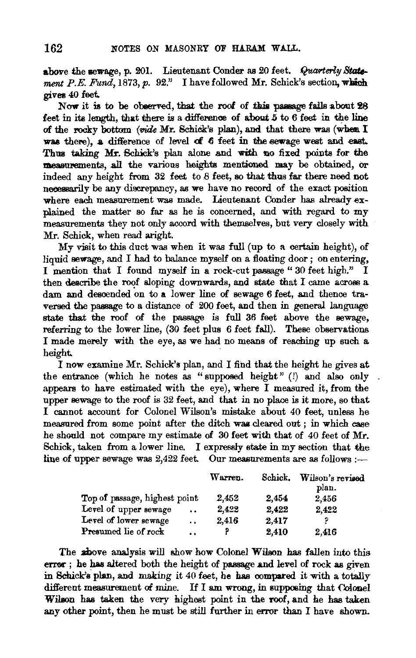above the sewage, p. 201. Lieutenant Conder as 20 feet. *Quarterly Statement P.E. Fund*, 1873, p. 92." I have followed Mr. Schick's section, which gives 40 feet.

Now it is to be observed, that the roof of this passage falls about 28 feet in its length, that there is a difference of about  $5$  to  $6$  feet in the line of the rocky bottom *(vide Mr. Schick's plan)*, and that there was (when I was there), a difference of level of 6 feet in the sewage west and east. Thus taking Mr. Schick's plan alone and with no fixed points for the measurements, all the various heights mentioned may be obtained, or indeed any height from  $32$  feet to  $8$  feet, so that thus far there need not necessarily be any discrepancy, as we have no record of the exact position where each measurement was made. Lieutenant Conder has already explained the matter so far as he is concerned, and with regard to my measurements they not only accord with themselves, but very closely with Mr. Schick, when read aright.

My visit to this duct was when it was full (up to a certain height), of liquid sewage, and I had to balance myself on a floating door ; on entering, I mention that I found myself in a rock-cut passage " 30 feet high." I then describe the roof sloping downwards, and state that I came across a dam and descended on to a lower line of sewage 6 feet, and thence traversed the passage to a distance of 200 feet, and then in general language state that the roof of the passage is full 36 feet above the sewage, referring to the lower line,  $(30 \text{ feet plus } 6 \text{ feet fall})$ . These observations I made merely with the eye, as we had no means of reaching up such a height.

I now examine Mr. Schick's plan, and I find that the height he gives at the entrance (which he notes as " supposed height" (!) and also only. appears to have estimated with the eye), where I measured it, from the upper sewage to the roof is 32 feet, and that in no place is it more, so that I cannot account for Colonel Wilson's mistake about 40 feet, unless he measured from some point after the ditch waa cleared out ; in which ease he shoold not compare my estimate of 30 feet with that of 40 feet of Mr. School and the compare iny estimate of 50 feet with that of 40 feet of my.<br>hick, taken from a lower line. I expressly state in my section that the<br>ne of upper sewage was 2.422 feet. Our measurements are as follows :-

|                                               | Warren. | Schick. | Wilson's revised<br>plan. |
|-----------------------------------------------|---------|---------|---------------------------|
| Top of passage, highest point                 | 2.452   | 2.454   | 2,456                     |
| Level of upper sewage<br>$\ddot{\phantom{0}}$ | 2,422   | 2.422   | 2,422                     |
| Level of lower sewage<br>$\ddot{\phantom{a}}$ | 2.416   | 2,417   |                           |
| Presumed lie of rock<br>$\ddot{\phantom{a}}$  |         | 2,410   | 2.416                     |

The above analysis will show how Colonel Wilson has fallen into this error; he has altered both the height of passage and level of rock as given in Schick's plan, and making it  $40$  feet, he has compared it with a totally different measurement of mine. If I am wrong, in supposing that  $\alpha$ . Wilson has taken the very highest point in the roof, and he has taken any other point, then he must be still further in error than I have shown.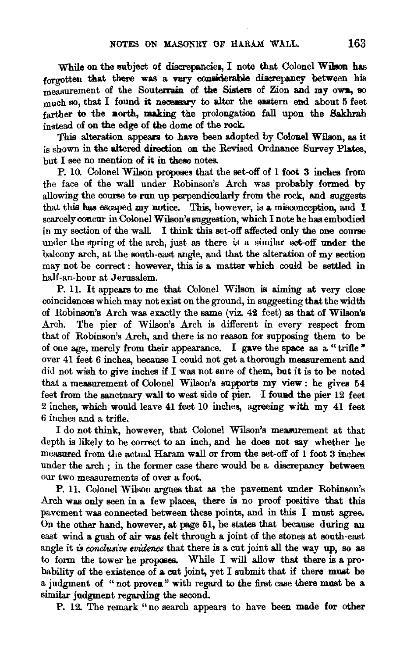While on the subject of discrepancies, I note that Colonel Wilson has forgotten that there was a very considerable discrepancy between his measurement of the Souterrain of the Sisters of Zion and my own, so much so, that  $I$  found it necessary to alter the eastern end about  $5$  feet farther to the north, making the prolongation fall upon the Sakhrah instead of on the edge of the dome of the rock.

This alteration appears to have been adopted by Colonel Wilson, as it is shown in the altered direction on the Revised Ordnance Survey Plates,  $but I see no mention of it in these notes.$ 

P. 10. Colonel Wilson proposes that the set-off of 1 foot 3 inehes from the face of the wall under Robinson's Arch was probably formed by allowing the course to run up perpendicularly from the rock, and suggests that this has escaped my notice. This, however, is a misconception, and I scarcely concur in Colonel Wilson's suggestion, which I note he has embodied in my section of the wall. I think this set-off affected only the one course under the spring of the arch, just as there is a similar set-off under the balcony arch, at the south-east angle, and that the alteration of my section may not be correct : however, this is a matter which could be settled in half-an-hour at Jerusalem.

P. 11. It appears to me that Colonel Wilson is aiming at very close coincidences which may not exist on the ground, in suggesting that the width of Robinson's Arch was exactly the same (viz. 42 feet) as that of Wilson's Arch. The pier of Wilson's Arch is different in every respect from that of Robinson's Arch, and there is no reason for supposing them to be of one age, merely from their appearance. I gave the space as a "trifle " over 41 feet 6 inches, because I could not get a thorough measurement and did not wish to give inches if I was not sure of them, but it is to be noted that a measurement of Colonel Wilson's supports my view : he gives 54 feet from the sanctuary wall to west side of pier. I found the pier 12 feet 2 inches, which would leave 41 feet 10 inches, agreeing with my 41 feet 6 inches and a trifle.

I do not think, however, that Colonel Wilson's measurement at that depth is likely to be correct to an inch, and he does not say whether he measured from the actual Haram wall or from the set-off of  $1$  foot  $3$  inches under the arch ; in the former case there would be a discrepancy between our two measurements of over a foot.

P. 11. Colonel Wilson argues that as the pavement under Robinson's Arch was only seen in a few places, there is no proof positive that this pavement was connected between these points, and in this I must agree. On the other hand, however, at page 51, he states that because during an east wind a gush of air was felt through a joint of the stones at south-east angle it *is conclusive evidence* that there is a cut joint all the way up, so as to form the tower he proposes. While I will allow that there is a probability of the existence of a cut joint, yet I submit that if there must be a judgment of " not proven" with regard to the first case there must be a similar judgment regarding the second.

P. 12. The remark "no search appears to have been made for other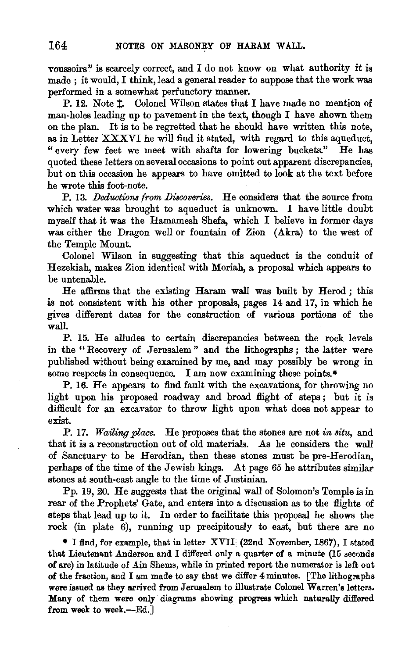vonssoirs" is scarcely correct, and I do not know on what authority it is made ; it would, I think, lead a general reader to suppose that the work was performed in a somewhat perfunctory manner.

P. 12. Note 1. Colonel Wilson states that I have made no mention of man-holes leading up to pavement in the text, though I have shown them on the plan. It is to be regretted that he should have written this note, as in Letter XXXVI he will find it stated, with regard to this aqueduct, " every few feet we meet with shafts for lowering buckets." He has quoted these letters on several occasions to point out apparent discrepancies, but on this occasion he appears to have omitted to look at the text before he wrote this foot-note.

P. 13. *Deductions from Discoveries*. He considers that the source from which water was brought to aqueduct is unknown. I have little doubt myself that it was the Hamamesh Shefa, which I believe in former days was either the Dragon well or fountain of Zion (Akra) to the west of the Temple Mount.

Colonel Wilson in suggesting that this aqueduct is the conduit of Hezekiah, makes Zion identical with Moriah, a proposal which appears to be untenable.

He affirms that the existing Haram wall was built by Herod ; this is not consistent with his other proposals, pages 14 and 17, in which he gives different dates for the construction of various portions of the wall.

P. 15. He alludes to certain discrepancies between the rock levels in the " Recovery of Jerusalem " and the lithographs ; the latter were published without being examined by me, and may possibly be wrong in some respects in consequence. I am now examining these points.\*

P. 16. He appears to find fault with the excavations, for throwing no light upon his proposed roadway and broad flight of steps; but it is difficult for an excavator to throw light upon what does not appear to exist.

P. 17. *Wailing place.* He proposes that the stones are not *in situ,* and that it is a reconstruction out of old materials. As he considers the wall of Sanctuary to be Herodian, then these stones must be pre-Herodian, perhaps of the time of the Jewish kings. At page 65 he attributes similar stones at south-east angle to the time of Justinian.

Pp. 19, 20. He suggests that the original wall of Solomon's Temple is in rear of the Prophets' Gate, and enters into a discussion as to the flights of steps that lead up to it. In order to facilitate this proposal he shows the rock (in plate 6), running up precipitously to east, but there are no

• I find, for example, that in letter XVII: (22nd November, 1867), I stated that Lieutenant Anderson and I differed only a quarter of a minute (15 seconds of arc) in latitude of Ain Shems, while in printed report the numerator is left out of the fraction, and I am made to say that we differ 4 minutes. [The lithographs were issued as they arrived from Jerusalem to illustrate Colonel Warren's letters. Many of them were only· diagrams showing progress which naturally differed from week to week,-Ed.]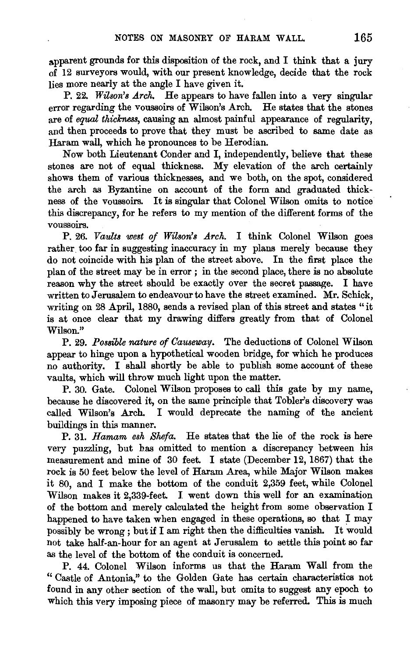apparent grounds for this disposition of the rock, and I think that a jury of 12 surveyors would, with our present knowledge, decide that the rock lies more nearly at the angle I have given it.

P. 22. *Wilson's Arch.* He appears to have fallen into a very singular error regarding the voussoirs of Wilson's Arch. He states that the stones are of *equal thickness*, causing an almost painful appearance of regularity, and then proceeds to prove that they must be ascribed to same date as Haram wall, which he pronounces to be Herodian.

Now both Lieutenant Conder and I, independently, believe that these stones are not of equal thickness. My elevation of the arch certainly shows them of various thicknesses, and we both, on the spot, considered the arch as Byzantine on account of the form and graduated thickness of the voussoirs. It is singular that Colonel Wilson omits to notice this discrepancy, for he refers to my mention of the different forms of the voussoirs.

P. 26. *Vaults west of Wilson's Arch.* I think Colonel Wilson goes rather too far in suggesting inaccuracy in my plans merely because they do not coincide with his plan of the street above. In the first place the plan of the street may be in error ; in the second place, there is no absolute reason why the street should be exactly over the secret passage. I have written to Jerusalem to endeavour to have the street examined. Mr. Schick, writing on 28 April, 1880, sends a revised plan of this street and states "it is at once clear that my drawing differs greatly from that of Colonel Wilson."

P. 29. *Possible nature of Causeway.* The deductions of Colonel Wilson appear to hinge upon a hypothetical wooden bridge, for which he produces no authority. I shall shortly be able to publish some account of these vaults, which will throw much light upon the matter.

P. 30. Gate. Colonel Wilson proposes to call this gate by my name, because he discovered it, on the same principle that Tobler's discovery was called Wilson's Arch. I would deprecate the naming of the ancient buildings in this manner.

P. 31. *Hamam esh Shefa.* He states that the lie of the rock is here very puzzling, but has omitted to mention a discrepancy between his measurement and mine of 30 feet. I state (December 12, 1867) that the rock is 50 feet below the level of Haram Area, while Major Wilson makes it 80, and I make the bottom of the conduit 2,359 feet, while Colonel Wilson makes it 2,339-feet. I went down this well for an examination of the bottom and merely calculated the height from some observation I happened to have taken when engaged in these operations, so that I may possibly be wrong ; but if I am right then the difficulties vanish. It would not take half-an-hour for an agent at Jerusalem to settle this point so far as the level of the bottom of the conduit is concerned.

P. 44. Colonel Wilson informs us that the Haram Wall from the " Castle of Antonia," to the Golden Gate has certain characteristics not found in any other section of the wall, but omits to suggest any epoch to which this very imposing piece of masonry may be referred. This is much